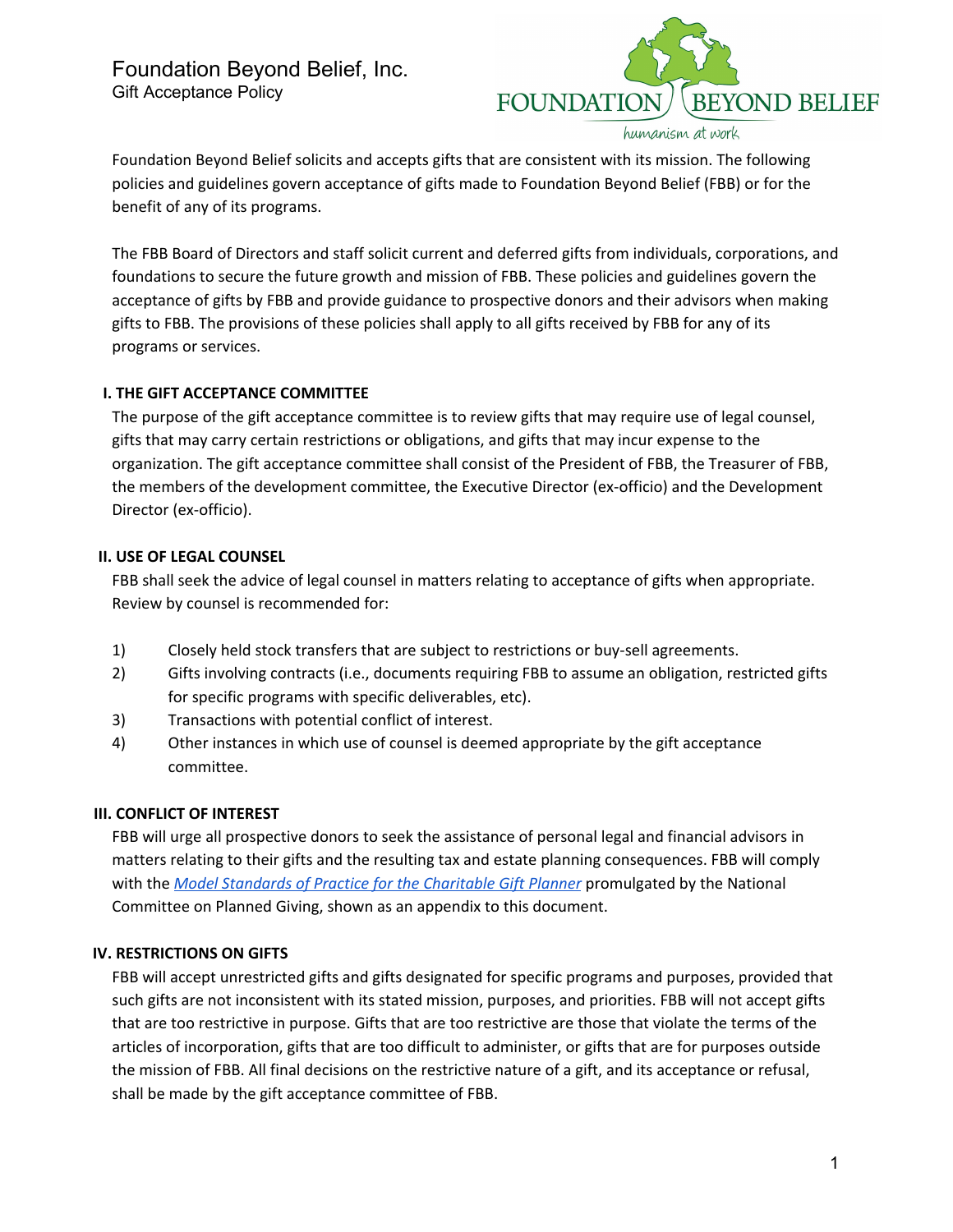

humanism at work

Foundation Beyond Belief solicits and accepts gifts that are consistent with its mission. The following policies and guidelines govern acceptance of gifts made to Foundation Beyond Belief (FBB) or for the benefit of any of its programs.

The FBB Board of Directors and staff solicit current and deferred gifts from individuals, corporations, and foundations to secure the future growth and mission of FBB. These policies and guidelines govern the acceptance of gifts by FBB and provide guidance to prospective donors and their advisors when making gifts to FBB. The provisions of these policies shall apply to all gifts received by FBB for any of its programs or services.

# **I. THE GIFT ACCEPTANCE COMMITTEE**

The purpose of the gift acceptance committee is to review gifts that may require use of legal counsel, gifts that may carry certain restrictions or obligations, and gifts that may incur expense to the organization. The gift acceptance committee shall consist of the President of FBB, the Treasurer of FBB, the members of the development committee, the Executive Director (ex-officio) and the Development Director (ex-officio).

# **II. USE OF LEGAL COUNSEL**

FBB shall seek the advice of legal counsel in matters relating to acceptance of gifts when appropriate. Review by counsel is recommended for:

- 1) Closely held stock transfers that are subject to restrictions or buy-sell agreements.
- 2) Gifts involving contracts (i.e., documents requiring FBB to assume an obligation, restricted gifts for specific programs with specific deliverables, etc).
- 3) Transactions with potential conflict of interest.
- 4) Other instances in which use of counsel is deemed appropriate by the gift acceptance committee.

#### **III. CONFLICT OF INTEREST**

FBB will urge all prospective donors to seek the assistance of personal legal and financial advisors in matters relating to their gifts and the resulting tax and estate planning consequences. FBB will comply with the *Model Standards of Practice for the [Charitable](https://charitablegiftplanners.org/standards/model-standards-practice-charitable-gift-planner) Gift Planner* promulgated by the National Committee on Planned Giving, shown as an appendix to this document.

# **IV. RESTRICTIONS ON GIFTS**

FBB will accept unrestricted gifts and gifts designated for specific programs and purposes, provided that such gifts are not inconsistent with its stated mission, purposes, and priorities. FBB will not accept gifts that are too restrictive in purpose. Gifts that are too restrictive are those that violate the terms of the articles of incorporation, gifts that are too difficult to administer, or gifts that are for purposes outside the mission of FBB. All final decisions on the restrictive nature of a gift, and its acceptance or refusal, shall be made by the gift acceptance committee of FBB.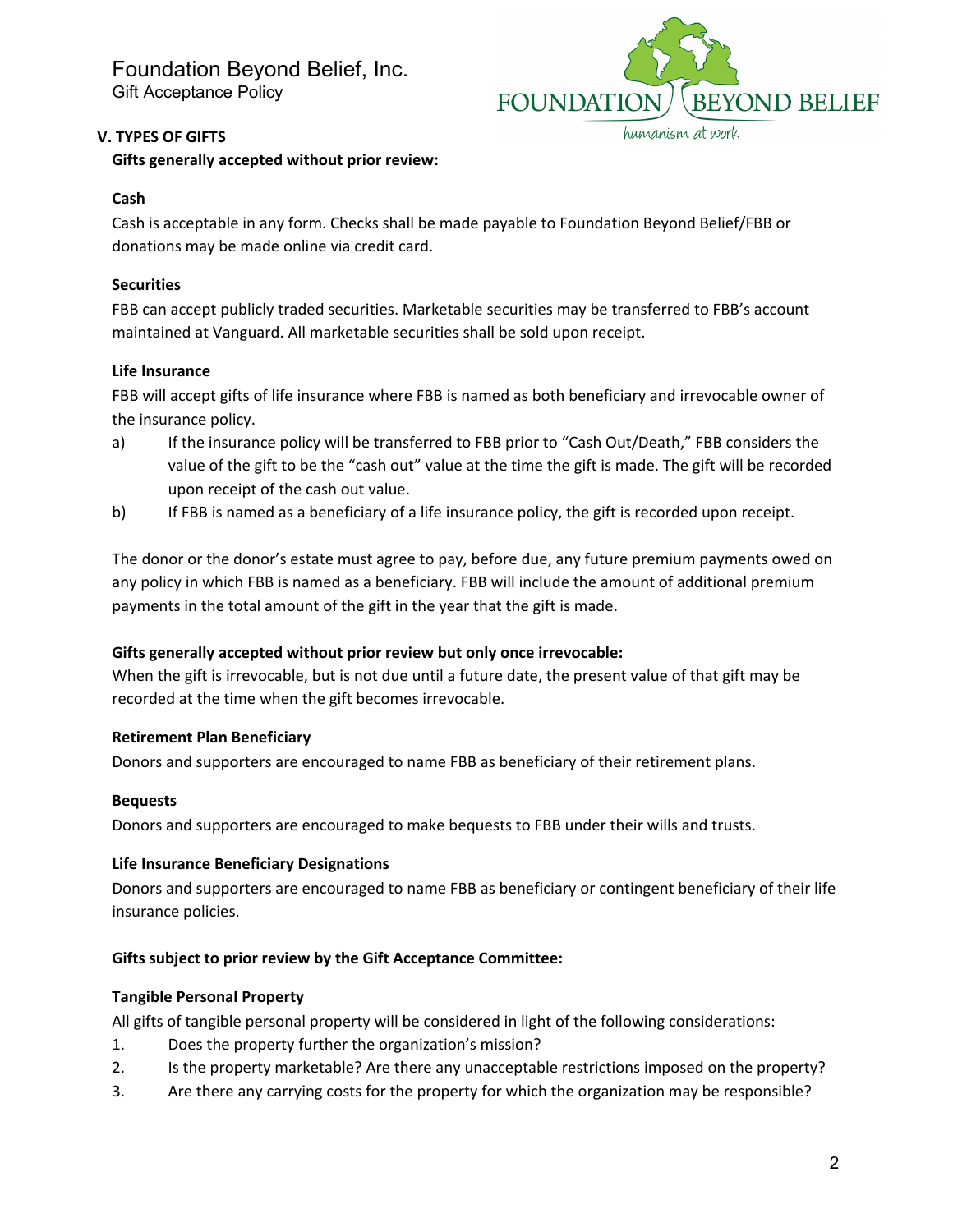Foundation Beyond Belief, Inc. Gift Acceptance Policy



## **V. TYPES OF GIFTS**

# **Gifts generally accepted without prior review:**

# **Cash**

Cash is acceptable in any form. Checks shall be made payable to Foundation Beyond Belief/FBB or donations may be made online via credit card.

# **Securities**

FBB can accept publicly traded securities. Marketable securities may be transferred to FBB's account maintained at Vanguard. All marketable securities shall be sold upon receipt.

# **Life Insurance**

FBB will accept gifts of life insurance where FBB is named as both beneficiary and irrevocable owner of the insurance policy.

- a) If the insurance policy will be transferred to FBB prior to "Cash Out/Death," FBB considers the value of the gift to be the "cash out" value at the time the gift is made. The gift will be recorded upon receipt of the cash out value.
- b) If FBB is named as a beneficiary of a life insurance policy, the gift is recorded upon receipt.

The donor or the donor's estate must agree to pay, before due, any future premium payments owed on any policy in which FBB is named as a beneficiary. FBB will include the amount of additional premium payments in the total amount of the gift in the year that the gift is made.

# **Gifts generally accepted without prior review but only once irrevocable:**

When the gift is irrevocable, but is not due until a future date, the present value of that gift may be recorded at the time when the gift becomes irrevocable.

# **Retirement Plan Beneficiary**

Donors and supporters are encouraged to name FBB as beneficiary of their retirement plans.

#### **Bequests**

Donors and supporters are encouraged to make bequests to FBB under their wills and trusts.

#### **Life Insurance Beneficiary Designations**

Donors and supporters are encouraged to name FBB as beneficiary or contingent beneficiary of their life insurance policies.

# **Gifts subject to prior review by the Gift Acceptance Committee:**

#### **Tangible Personal Property**

All gifts of tangible personal property will be considered in light of the following considerations:

- 1. Does the property further the organization's mission?
- 2. Is the property marketable? Are there any unacceptable restrictions imposed on the property?
- 3. Are there any carrying costs for the property for which the organization may be responsible?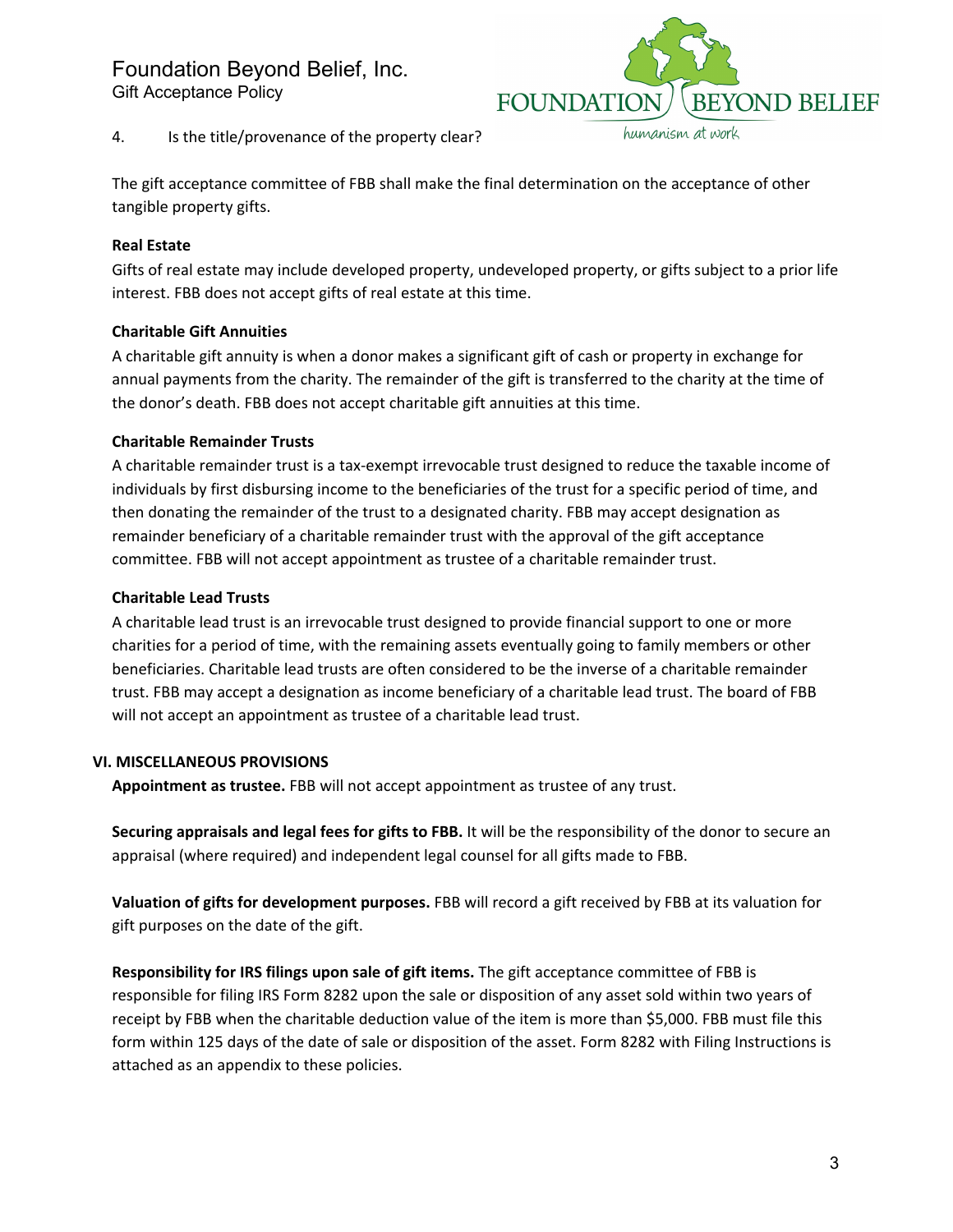# Foundation Beyond Belief, Inc.

Gift Acceptance Policy



4. Is the title/provenance of the property clear?

The gift acceptance committee of FBB shall make the final determination on the acceptance of other tangible property gifts.

# **Real Estate**

Gifts of real estate may include developed property, undeveloped property, or gifts subject to a prior life interest. FBB does not accept gifts of real estate at this time.

# **Charitable Gift Annuities**

A charitable gift annuity is when a donor makes a significant gift of cash or property in exchange for annual payments from the charity. The remainder of the gift is transferred to the charity at the time of the donor's death. FBB does not accept charitable gift annuities at this time.

# **Charitable Remainder Trusts**

A charitable remainder trust is a tax-exempt irrevocable trust designed to reduce the taxable income of individuals by first disbursing income to the beneficiaries of the trust for a specific period of time, and then donating the remainder of the trust to a designated charity. FBB may accept designation as remainder beneficiary of a charitable remainder trust with the approval of the gift acceptance committee. FBB will not accept appointment as trustee of a charitable remainder trust.

# **Charitable Lead Trusts**

A charitable lead trust is an irrevocable trust designed to provide financial support to one or more charities for a period of time, with the remaining assets eventually going to family members or other beneficiaries. Charitable lead trusts are often considered to be the inverse of a charitable remainder trust. FBB may accept a designation as income beneficiary of a charitable lead trust. The board of FBB will not accept an appointment as trustee of a charitable lead trust.

# **VI. MISCELLANEOUS PROVISIONS**

**Appointment as trustee.** FBB will not accept appointment as trustee of any trust.

**Securing appraisals and legal fees for gifts to FBB.** It will be the responsibility of the donor to secure an appraisal (where required) and independent legal counsel for all gifts made to FBB.

**Valuation of gifts for development purposes.** FBB will record a gift received by FBB at its valuation for gift purposes on the date of the gift.

**Responsibility for IRS filings upon sale of gift items.** The gift acceptance committee of FBB is responsible for filing IRS Form 8282 upon the sale or disposition of any asset sold within two years of receipt by FBB when the charitable deduction value of the item is more than \$5,000. FBB must file this form within 125 days of the date of sale or disposition of the asset. Form 8282 with Filing Instructions is attached as an appendix to these policies.